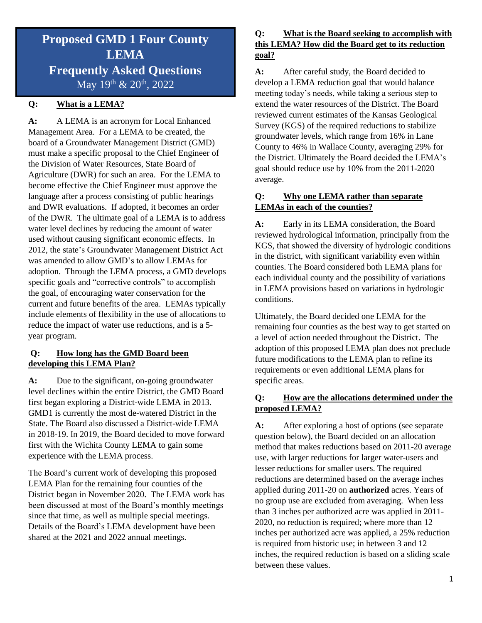# **Proposed GMD 1 Four County LEMA Frequently Asked Questions**  May 19<sup>th</sup> & 20<sup>th</sup>, 2022

# **Q: What is a LEMA?**

**A:** A LEMA is an acronym for Local Enhanced Management Area. For a LEMA to be created, the board of a Groundwater Management District (GMD) must make a specific proposal to the Chief Engineer of the Division of Water Resources, State Board of Agriculture (DWR) for such an area. For the LEMA to become effective the Chief Engineer must approve the language after a process consisting of public hearings and DWR evaluations. If adopted, it becomes an order of the DWR. The ultimate goal of a LEMA is to address water level declines by reducing the amount of water used without causing significant economic effects. In 2012, the state's Groundwater Management District Act was amended to allow GMD's to allow LEMAs for adoption. Through the LEMA process, a GMD develops specific goals and "corrective controls" to accomplish the goal, of encouraging water conservation for the current and future benefits of the area. LEMAs typically include elements of flexibility in the use of allocations to reduce the impact of water use reductions, and is a 5 year program.

#### **Q: How long has the GMD Board been developing this LEMA Plan?**

**A:** Due to the significant, on-going groundwater level declines within the entire District, the GMD Board first began exploring a District-wide LEMA in 2013. GMD1 is currently the most de-watered District in the State. The Board also discussed a District-wide LEMA in 2018-19. In 2019, the Board decided to move forward first with the Wichita County LEMA to gain some experience with the LEMA process.

The Board's current work of developing this proposed LEMA Plan for the remaining four counties of the District began in November 2020. The LEMA work has been discussed at most of the Board's monthly meetings since that time, as well as multiple special meetings. Details of the Board's LEMA development have been shared at the 2021 and 2022 annual meetings.

## **Q: What is the Board seeking to accomplish with this LEMA? How did the Board get to its reduction goal?**

**A:** After careful study, the Board decided to develop a LEMA reduction goal that would balance meeting today's needs, while taking a serious step to extend the water resources of the District. The Board reviewed current estimates of the Kansas Geological Survey (KGS) of the required reductions to stabilize groundwater levels, which range from 16% in Lane County to 46% in Wallace County, averaging 29% for the District. Ultimately the Board decided the LEMA's goal should reduce use by 10% from the 2011-2020 average.

#### **Q: Why one LEMA rather than separate LEMAs in each of the counties?**

**A:** Early in its LEMA consideration, the Board reviewed hydrological information, principally from the KGS, that showed the diversity of hydrologic conditions in the district, with significant variability even within counties. The Board considered both LEMA plans for each individual county and the possibility of variations in LEMA provisions based on variations in hydrologic conditions.

Ultimately, the Board decided one LEMA for the remaining four counties as the best way to get started on a level of action needed throughout the District. The adoption of this proposed LEMA plan does not preclude future modifications to the LEMA plan to refine its requirements or even additional LEMA plans for specific areas.

#### **Q: How are the allocations determined under the proposed LEMA?**

**A:** After exploring a host of options (see separate question below), the Board decided on an allocation method that makes reductions based on 2011-20 average use, with larger reductions for larger water-users and lesser reductions for smaller users. The required reductions are determined based on the average inches applied during 2011-20 on **authorized** acres. Years of no group use are excluded from averaging. When less than 3 inches per authorized acre was applied in 2011- 2020, no reduction is required; where more than 12 inches per authorized acre was applied, a 25% reduction is required from historic use; in between 3 and 12 inches, the required reduction is based on a sliding scale between these values.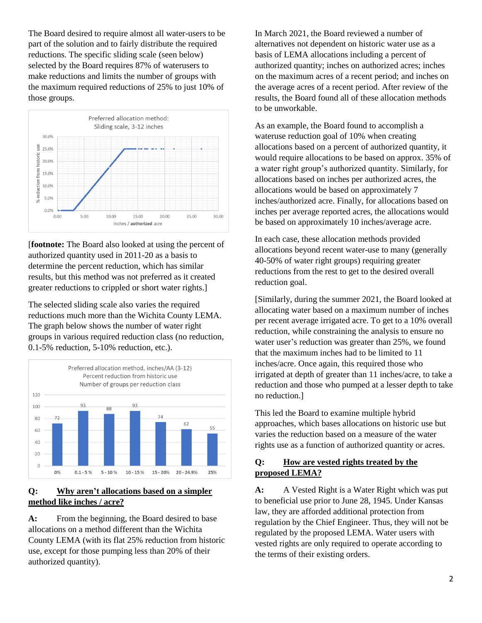The Board desired to require almost all water-users to be part of the solution and to fairly distribute the required reductions. The specific sliding scale (seen below) selected by the Board requires 87% of waterusers to make reductions and limits the number of groups with the maximum required reductions of 25% to just 10% of those groups.



[**footnote:** The Board also looked at using the percent of authorized quantity used in 2011-20 as a basis to determine the percent reduction, which has similar results, but this method was not preferred as it created greater reductions to crippled or short water rights.]

The selected sliding scale also varies the required reductions much more than the Wichita County LEMA. The graph below shows the number of water right groups in various required reduction class (no reduction, 0.1-5% reduction, 5-10% reduction, etc.).



#### **Q: Why aren't allocations based on a simpler method like inches / acre?**

A: From the beginning, the Board desired to base allocations on a method different than the Wichita County LEMA (with its flat 25% reduction from historic use, except for those pumping less than 20% of their authorized quantity).

In March 2021, the Board reviewed a number of alternatives not dependent on historic water use as a basis of LEMA allocations including a percent of authorized quantity; inches on authorized acres; inches on the maximum acres of a recent period; and inches on the average acres of a recent period. After review of the results, the Board found all of these allocation methods to be unworkable.

As an example, the Board found to accomplish a wateruse reduction goal of 10% when creating allocations based on a percent of authorized quantity, it would require allocations to be based on approx. 35% of a water right group's authorized quantity. Similarly, for allocations based on inches per authorized acres, the allocations would be based on approximately 7 inches/authorized acre. Finally, for allocations based on inches per average reported acres, the allocations would be based on approximately 10 inches/average acre.

In each case, these allocation methods provided allocations beyond recent water-use to many (generally 40-50% of water right groups) requiring greater reductions from the rest to get to the desired overall reduction goal.

[Similarly, during the summer 2021, the Board looked at allocating water based on a maximum number of inches per recent average irrigated acre. To get to a 10% overall reduction, while constraining the analysis to ensure no water user's reduction was greater than 25%, we found that the maximum inches had to be limited to 11 inches/acre. Once again, this required those who irrigated at depth of greater than 11 inches/acre, to take a reduction and those who pumped at a lesser depth to take no reduction.]

This led the Board to examine multiple hybrid approaches, which bases allocations on historic use but varies the reduction based on a measure of the water rights use as a function of authorized quantity or acres.

#### **Q: How are vested rights treated by the proposed LEMA?**

**A:** A Vested Right is a Water Right which was put to beneficial use prior to June 28, 1945. Under Kansas law, they are afforded additional protection from regulation by the Chief Engineer. Thus, they will not be regulated by the proposed LEMA. Water users with vested rights are only required to operate according to the terms of their existing orders.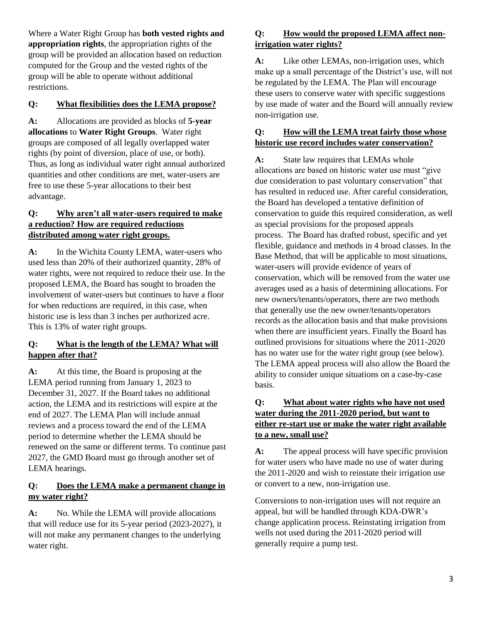Where a Water Right Group has **both vested rights and appropriation rights**, the appropriation rights of the group will be provided an allocation based on reduction computed for the Group and the vested rights of the group will be able to operate without additional restrictions.

## **Q: What flexibilities does the LEMA propose?**

**A:** Allocations are provided as blocks of **5-year allocations** to **Water Right Groups**. Water right groups are composed of all legally overlapped water rights (by point of diversion, place of use, or both). Thus, as long as individual water right annual authorized quantities and other conditions are met, water-users are free to use these 5-year allocations to their best advantage.

#### **Q: Why aren't all water-users required to make a reduction? How are required reductions distributed among water right groups.**

**A:** In the Wichita County LEMA, water-users who used less than 20% of their authorized quantity, 28% of water rights, were not required to reduce their use. In the proposed LEMA, the Board has sought to broaden the involvement of water-users but continues to have a floor for when reductions are required, in this case, when historic use is less than 3 inches per authorized acre. This is 13% of water right groups.

#### **Q: What is the length of the LEMA? What will happen after that?**

**A:** At this time, the Board is proposing at the LEMA period running from January 1, 2023 to December 31, 2027. If the Board takes no additional action, the LEMA and its restrictions will expire at the end of 2027. The LEMA Plan will include annual reviews and a process toward the end of the LEMA period to determine whether the LEMA should be renewed on the same or different terms. To continue past 2027, the GMD Board must go through another set of LEMA hearings.

#### **Q: Does the LEMA make a permanent change in my water right?**

**A:** No. While the LEMA will provide allocations that will reduce use for its 5-year period (2023-2027), it will not make any permanent changes to the underlying water right.

# **Q: How would the proposed LEMA affect nonirrigation water rights?**

**A:** Like other LEMAs, non-irrigation uses, which make up a small percentage of the District's use, will not be regulated by the LEMA. The Plan will encourage these users to conserve water with specific suggestions by use made of water and the Board will annually review non-irrigation use.

## **Q: How will the LEMA treat fairly those whose historic use record includes water conservation?**

**A:** State law requires that LEMAs whole allocations are based on historic water use must "give due consideration to past voluntary conservation" that has resulted in reduced use. After careful consideration, the Board has developed a tentative definition of conservation to guide this required consideration, as well as special provisions for the proposed appeals process. The Board has drafted robust, specific and yet flexible, guidance and methods in 4 broad classes. In the Base Method, that will be applicable to most situations, water-users will provide evidence of years of conservation, which will be removed from the water use averages used as a basis of determining allocations. For new owners/tenants/operators, there are two methods that generally use the new owner/tenants/operators records as the allocation basis and that make provisions when there are insufficient years. Finally the Board has outlined provisions for situations where the 2011-2020 has no water use for the water right group (see below). The LEMA appeal process will also allow the Board the ability to consider unique situations on a case-by-case basis.

## **Q: What about water rights who have not used water during the 2011-2020 period, but want to either re-start use or make the water right available to a new, small use?**

**A:** The appeal process will have specific provision for water users who have made no use of water during the 2011-2020 and wish to reinstate their irrigation use or convert to a new, non-irrigation use.

Conversions to non-irrigation uses will not require an appeal, but will be handled through KDA-DWR's change application process. Reinstating irrigation from wells not used during the 2011-2020 period will generally require a pump test.